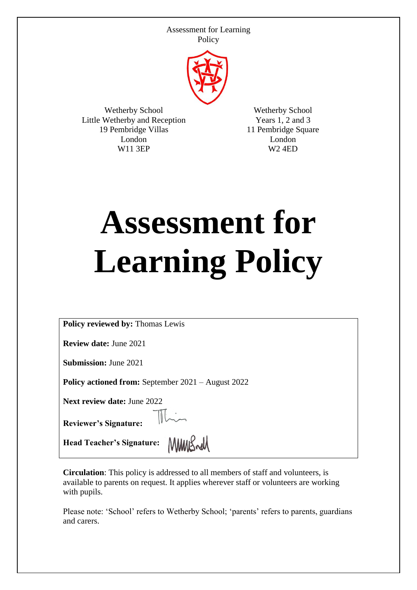

Wetherby School Little Wetherby and Reception 19 Pembridge Villas London W11 3EP

Wetherby School Years 1, 2 and 3 11 Pembridge Square London W2 4ED

# **Assessment for Learning Policy**

**Policy reviewed by:** Thomas Lewis

**Review date:** June 2021

**Submission:** June 2021

**Policy actioned from:** September 2021 – August 2022

**Next review date:** June 2022

**Reviewer's Signature:** 

 $\mathbb{R}$ 

Head Teacher's Signature: MMMS

**Circulation**: This policy is addressed to all members of staff and volunteers, is available to parents on request. It applies wherever staff or volunteers are working with pupils.

Please note: 'School' refers to Wetherby School; 'parents' refers to parents, guardians and carers.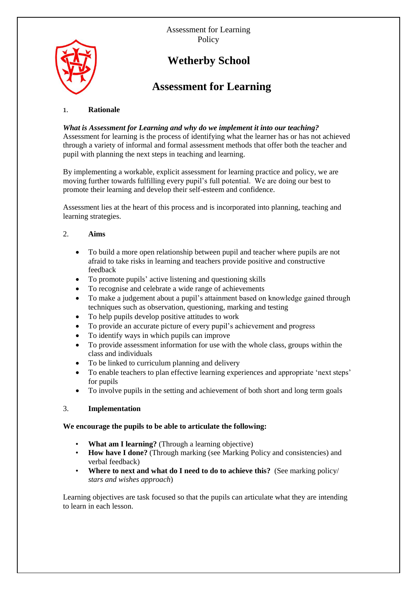

# **Wetherby School**

# **Assessment for Learning**

# 1. **Rationale**

# *What is Assessment for Learning and why do we implement it into our teaching?*

Assessment for learning is the process of identifying what the learner has or has not achieved through a variety of informal and formal assessment methods that offer both the teacher and pupil with planning the next steps in teaching and learning.

By implementing a workable, explicit assessment for learning practice and policy, we are moving further towards fulfilling every pupil's full potential. We are doing our best to promote their learning and develop their self-esteem and confidence.

Assessment lies at the heart of this process and is incorporated into planning, teaching and learning strategies.

# 2. **Aims**

- To build a more open relationship between pupil and teacher where pupils are not afraid to take risks in learning and teachers provide positive and constructive feedback
- To promote pupils' active listening and questioning skills
- To recognise and celebrate a wide range of achievements
- To make a judgement about a pupil's attainment based on knowledge gained through techniques such as observation, questioning, marking and testing
- To help pupils develop positive attitudes to work
- To provide an accurate picture of every pupil's achievement and progress
- To identify ways in which pupils can improve
- To provide assessment information for use with the whole class, groups within the class and individuals
- To be linked to curriculum planning and delivery
- To enable teachers to plan effective learning experiences and appropriate 'next steps' for pupils
- To involve pupils in the setting and achievement of both short and long term goals

# 3. **Implementation**

#### **We encourage the pupils to be able to articulate the following:**

- **What am I learning?** (Through a learning objective)
- **How have I done?** (Through marking (see Marking Policy and consistencies) and verbal feedback)
- **Where to next and what do I need to do to achieve this?** (See marking policy/ *stars and wishes approach*)

Learning objectives are task focused so that the pupils can articulate what they are intending to learn in each lesson.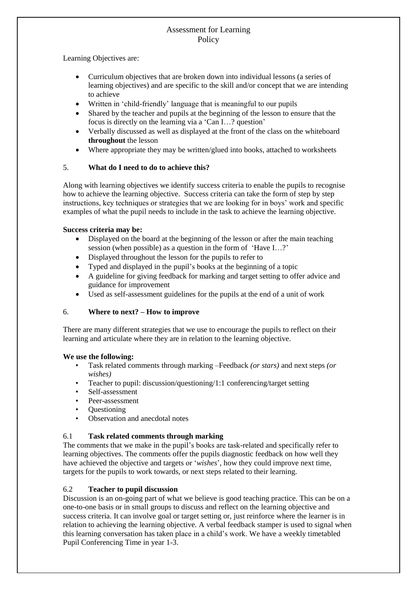Learning Objectives are:

- Curriculum objectives that are broken down into individual lessons (a series of learning objectives) and are specific to the skill and/or concept that we are intending to achieve
- Written in 'child-friendly' language that is meaningful to our pupils
- Shared by the teacher and pupils at the beginning of the lesson to ensure that the focus is directly on the learning via a 'Can I…? question'
- Verbally discussed as well as displayed at the front of the class on the whiteboard **throughout** the lesson
- Where appropriate they may be written/glued into books, attached to worksheets

#### 5. **What do I need to do to achieve this?**

Along with learning objectives we identify success criteria to enable the pupils to recognise how to achieve the learning objective. Success criteria can take the form of step by step instructions, key techniques or strategies that we are looking for in boys' work and specific examples of what the pupil needs to include in the task to achieve the learning objective.

#### **Success criteria may be:**

- Displayed on the board at the beginning of the lesson or after the main teaching session (when possible) as a question in the form of 'Have I…?'
- Displayed throughout the lesson for the pupils to refer to
- Typed and displayed in the pupil's books at the beginning of a topic
- A guideline for giving feedback for marking and target setting to offer advice and guidance for improvement
- Used as self-assessment guidelines for the pupils at the end of a unit of work

# 6. **Where to next? – How to improve**

There are many different strategies that we use to encourage the pupils to reflect on their learning and articulate where they are in relation to the learning objective.

#### **We use the following:**

- Task related comments through marking –Feedback *(or stars)* and next steps *(or wishes)*
- Teacher to pupil: discussion/questioning/1:1 conferencing/target setting
- Self-assessment
- Peer-assessment
- Questioning
- Observation and anecdotal notes

# 6.1 **Task related comments through marking**

The comments that we make in the pupil's books are task-related and specifically refer to learning objectives. The comments offer the pupils diagnostic feedback on how well they have achieved the objective and targets or '*wishes*', how they could improve next time, targets for the pupils to work towards, or next steps related to their learning.

#### 6.2 **Teacher to pupil discussion**

Discussion is an on-going part of what we believe is good teaching practice. This can be on a one-to-one basis or in small groups to discuss and reflect on the learning objective and success criteria. It can involve goal or target setting or, just reinforce where the learner is in relation to achieving the learning objective. A verbal feedback stamper is used to signal when this learning conversation has taken place in a child's work. We have a weekly timetabled Pupil Conferencing Time in year 1-3.